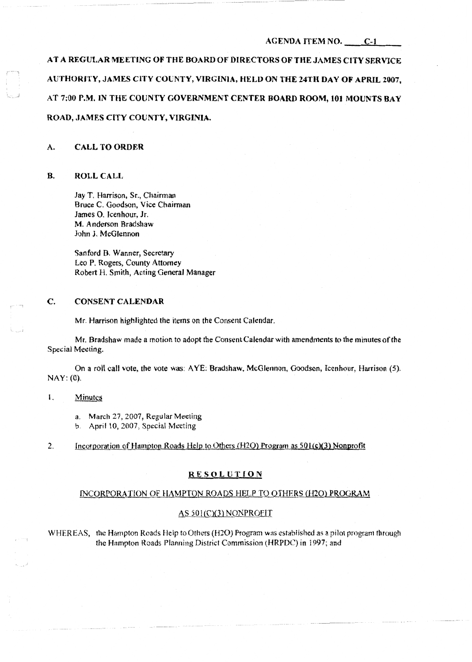# AGENDA ITEM NO. C-1

AT A REGULAR MEETING OF THE BOARD OF DIRECTORS OF THE JAMES CITY SERVICE AUTHORITY, JAMES CITY COUNTY, VIRGINIA, HELD ON THE 24TH DAY OF APRIL 2007, AT 7;00 P.M. IN THE COUNTY GOVERNMENT CENTER BOARD ROOM, 101 MOUNTS BAY ROAD, JAMES CITY COUNTY, VIRGINIA.

## A. CALL TO ORDER

## B. ROLL CALL

',,, \_J

Jay T. Harrison. Sr., Chairman Bruce C. Goodson, Vice Chairman James 0. Icenhour, Jr. M. Anderson Bradshaw John J. McGlennon

Sanford B. Wanner, Secretary Leo P. Rogers, County Attorney Robert H. Smith, Acting General Manager

## C. CONSENT CALENDAR

Mr, Harrison highlighted the items on the Consent Calendar.

Mr. Bradshaw made a motion to adopt the Coosent Calendar with amendments to the minutes of the Special Meeting.

On a roll call vote, the vote was: A YE; Bradshaw, McGlennon, Goodson, Icenhour, Harrison (5). NAY: (0).

## I. Minutes

- a. March 27, 2007, Regular Meeting
- b. April 10, 2007, Special Meeting

## 2. Incorporation of Hampton Roads Help to Others (H2O) Program as 501(c)(3) Nonprofit

## RESOLUTION

## INCORPORATION OF HAMPTON ROADS HELP TO OTHERS (H2O) PROGRAM

## AS 501(C)(3) NONPROFIT

WHEREAS, the Hampton Roads Help to Others (H20) Program was established as a pilot program through the Hampton Roads Planning District Commission (HRPDC) in 1997; and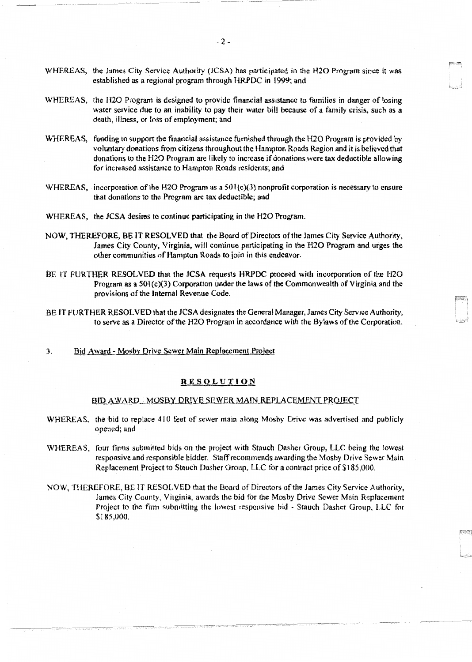- WHEREAS, the James City Service Authority (JCSA) has participated in the H20 Program since it was established as a regional program through HRPDC in 1999; and
- WHEREAS, the H20 Program is designed to provide financial assistance to families in danger of losing water service due to an inability to pay their water bill because of a family crisis, such as a death, illness, or loss of employment; and
- WHEREAS, funding to support the financial assistance furnished through the H20 Program is provided by voluntary donations from citizens throughout the Hampton Roads Region and it is believed that donations to the H20 Program are likely to increase if donations were tax deductible allowing for increased assistance to Hampton Roads residents; and
- WHEREAS, incorporation of the H2O Program as a  $501(c)(3)$  nonprofit corporation is necessary to ensure that donations to the Program are tax deductible; and
- WHEREAS. the JCSA desires to continue participating in the H20 Program.
- NOW, THEREFORE, BE IT RESOL VEO that the Board of Directors of the James City Service Authority, James City County, Virginia, will continue participating in the H20 Program and urges the other communities of Hampton Roads to join in this endeavor.
- BE IT FURTHER RESOLVED that the JCSA requests HRPOC proceed with incorporation of the H20 Program as a  $501(c)(3)$  Corporation under the laws of the Commonwealth of Virginia and the provisions of the Internal Revenue Code.
- BE IT FURTHER RESOLVED that the JCSA designates the General Manager, James City Service Authority, to serve as a Director of the H20 Program in accordance with the Bylaws of the Corporation.
- 3. Bid Award Mosby Drive Sewer Main Replacement Project

## RE§OLUTION

# BID AWARD - MOSBY DRIVE SEWER MAIN REPLACEMENT PROJECT

- WHEREAS, the bid to replace 410 feet of sewer main along Mosby Drive was advertised and publicly opened; and
- WHEREAS, four firms submitted bids on the project with Stauch Dasher Group, LLC being the lowest responsive and responsible bidder. Staff recommends awarding the Mosby Drive Sewer Main Replacement Project to Stauch Dasher Group, LLC for a contract price of \$185,000.
- NOW, THEREFORE, BE lT RESOLVED that the Board of Directors of the James City Service Authority, James City County, Virginia, awards the bid for the Mosby Drive Sewer Main Replacement Project to the firm submitting the lowest responsive bid - Stauch Dasher Group, LLC for \$185,000.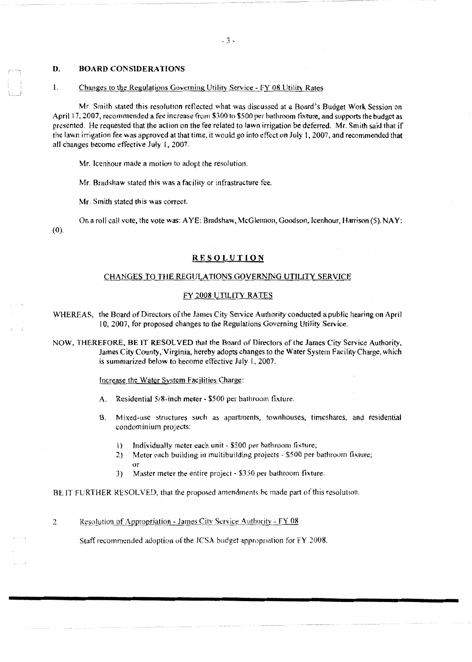#### **D. BOARD CONSlDERA TIONS**

#### Changes to the Regulations Governing Utility Service - FY 08 Utility Rates 1.

Mr. Smith stated this resolution reflected what was discussed at a Board's Budget Work Session on April 17, 2007, recommended a fee increase from \$300 to \$500 per bathroom fixture, and supports the budget as presented. He requested that the action on the fee related to lawn irrigation be deferred. Mr. Smith said that if the lawn irrigation fee was approved at that time, it would go into effect on July 1, 2007, and recommended that all changes become effective July I, 2007.

Mr. Icenhour made a motion to adopt the resolution.

Mr. Bradshaw stated this was a facility or infrastructure fee.

Mr. Smith stated this was correct.

On a roll call vote, the vote was: AYE: Bradshaw, McGlennon, Goodson, Icenhour, Harrison (5). NAY: (0).

### **RESQLUTION**

# CHANGES TO THE REGULATIONS GOVERNING UTILITY SERVICE

## FY 2008 UTILITY RATES

WHEREAS, the Board of Directors of the James City Service Authority conducted a public hearing on April t 0, 2007, for proposed changes to the Regulations Governing Utility Service.

NOW, THEREFORE, BE IT RESOLVED that the Board of Directors of the James City Service Authority, James City County,'Virginia, hereby adopts changes to the Water System Facility Charge, which is summarized below to become effective July 1, 2007.

Increase the Water System Facilities Charge:

*t\.* Residential 5/8-inch meter - \$500 per bathroom fixture.

- B. Mixed-use structures such as apartments, townhouses, timeshares, and residential condominium projects:
	- I} Individually meter each unit \$500 per bathroom fixture;
	- 2) Meter each building in multibuilding projects \$500 per bathroom fixture; or
	- 3) Master meter the entire project \$350 per bathroom fixture.

BE IT FURTHER RESOLVED. that the proposed amendments he made part of this resolution.

Resolution of Appropriation - James City Service Authority - FY 08  $2.$ 

Staff recommended adoption of the JCSA budget appropriation for FY 2008.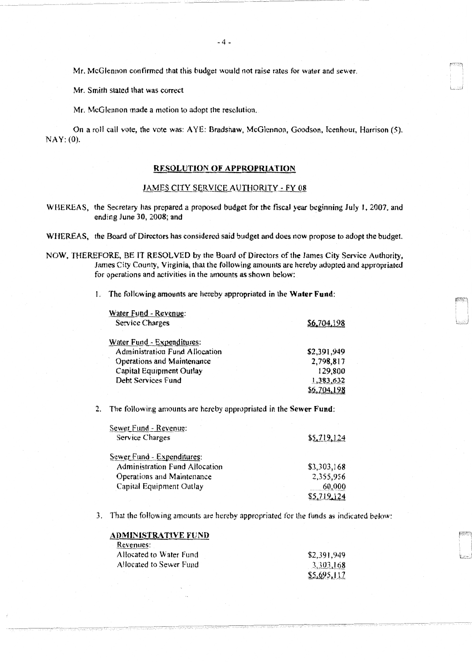Mr. McGlennon confirmed that this budget would not raise rates for water and sewer.

Mr. Smith stated that was correct

Mr. McGlennon made a motion to adopt the resolution.

On a roll call vote, the vote was: AYE: Bradshaw, McGlennon, Goodson, Icenhour, Harrison (5). NAY: (0).

## RESOLUTION OF APPROPRIATION

## JAMES CITY SERVICE AUTHORITY - FY 08

WHEREAS, the Secretary has prepared a proposed budget for the fiscal year beginning July I. 2007, and ending June 30, 2008; and

WHEREAS, the Board of Directors has considered said budget and does now propose to adopt the budget.

NOW, THEREFORE, BE IT RESOLVED by the Board of Directors of the James City Service Authority, James City County, Virginia, that the following amounts are hereby adopted and appropriated for operations and activities in the amounts as shown below:

l. The following amounts are hereby appropriated in the Water Fund:

| Water Fund - Revenue:                 |             |
|---------------------------------------|-------------|
| <b>Service Charges</b>                | \$6,704.198 |
| Water Fund - Expenditures:            |             |
| <b>Administration Fund Allocation</b> | \$2,391,949 |
| Operations and Maintenance            | 2,798,817   |
| Capital Equipment Outlay              | 129,800     |
| Debt Services Fund                    | 1,383,632   |
|                                       |             |

2. The following amounts are hereby appropriated in the Sewer Fund:

| Sewer Fund - Revenue:                 |             |
|---------------------------------------|-------------|
| <b>Service Charges</b>                | \$5,719,124 |
| Sewer Fund - Expenditures:            |             |
| <b>Administration Fund Allocation</b> | \$3,303,168 |
| Operations and Maintenance            | 2,355,956   |
| Capital Equipment Outlay              | 60,000      |
|                                       | \$5.719.124 |

3. That the following amounts are hereby appropriated for the funds as indicated below:

| ADMINISTRATIVE FUND     |             |
|-------------------------|-------------|
| Revenues:               |             |
| Allocated to Water Fund | \$2,391,949 |
| Allocated to Sewer Fund | 3,303,168   |
|                         | \$5,695,117 |